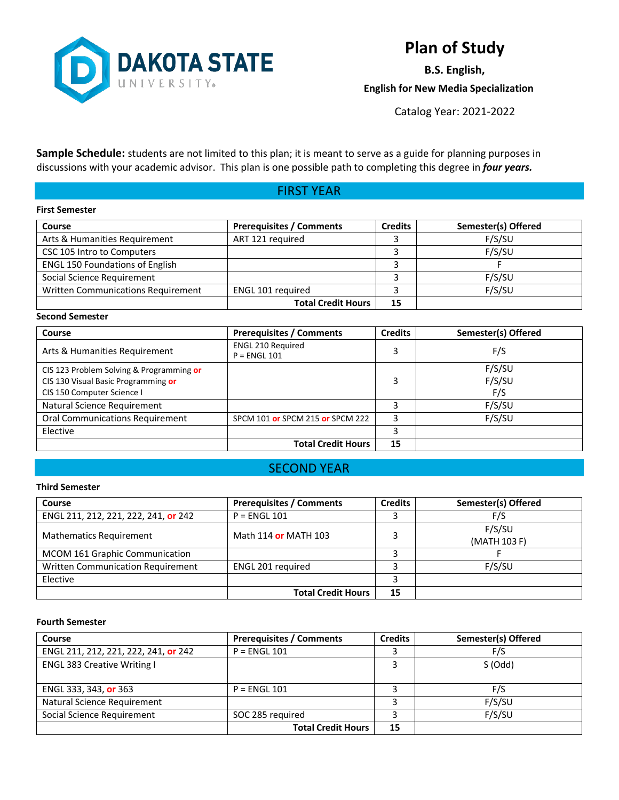

# **Plan of Study**

**B.S. English, English for New Media Specialization**

Catalog Year: 2021-2022

**Sample Schedule:** students are not limited to this plan; it is meant to serve as a guide for planning purposes in discussions with your academic advisor. This plan is one possible path to completing this degree in *four years.*

## FIRST YEAR

#### **First Semester**

| <b>Course</b>                          | <b>Prerequisites / Comments</b> | <b>Credits</b> | Semester(s) Offered |
|----------------------------------------|---------------------------------|----------------|---------------------|
| Arts & Humanities Requirement          | ART 121 required                |                | F/S/SU              |
| CSC 105 Intro to Computers             |                                 |                | F/S/SU              |
| <b>ENGL 150 Foundations of English</b> |                                 |                |                     |
| Social Science Requirement             |                                 |                | F/S/SU              |
| Written Communications Requirement     | ENGL 101 required               |                | F/S/SU              |
|                                        | <b>Total Credit Hours</b>       | 15             |                     |

### **Second Semester**

| Course                                                                                                        | <b>Prerequisites / Comments</b>            | Credits | Semester(s) Offered     |
|---------------------------------------------------------------------------------------------------------------|--------------------------------------------|---------|-------------------------|
| Arts & Humanities Requirement                                                                                 | <b>ENGL 210 Required</b><br>$P = ENGL$ 101 |         | F/S                     |
| CIS 123 Problem Solving & Programming or<br>CIS 130 Visual Basic Programming or<br>CIS 150 Computer Science I |                                            | 3       | F/S/SU<br>F/S/SU<br>F/S |
| Natural Science Requirement                                                                                   |                                            |         | F/S/SU                  |
| <b>Oral Communications Requirement</b>                                                                        | SPCM 101 or SPCM 215 or SPCM 222           |         | F/S/SU                  |
| Elective                                                                                                      |                                            |         |                         |
|                                                                                                               | <b>Total Credit Hours</b>                  | 15      |                         |

### SECOND YEAR

#### **Third Semester**

| Course                               | <b>Prerequisites / Comments</b> | <b>Credits</b> | Semester(s) Offered    |
|--------------------------------------|---------------------------------|----------------|------------------------|
| ENGL 211, 212, 221, 222, 241, or 242 | $P = ENGL 101$                  |                | F/S                    |
| <b>Mathematics Requirement</b>       | Math 114 or MATH 103            |                | F/S/SU<br>(MATH 103 F) |
| MCOM 161 Graphic Communication       |                                 |                |                        |
| Written Communication Requirement    | ENGL 201 required               |                | F/S/SU                 |
| Elective                             |                                 |                |                        |
|                                      | <b>Total Credit Hours</b>       | 15             |                        |

### **Fourth Semester**

| <b>Course</b>                        | <b>Prerequisites / Comments</b> | <b>Credits</b> | Semester(s) Offered |
|--------------------------------------|---------------------------------|----------------|---------------------|
| ENGL 211, 212, 221, 222, 241, or 242 | $P = ENGL 101$                  |                | F/S                 |
| <b>ENGL 383 Creative Writing I</b>   |                                 |                | S (Odd)             |
| ENGL 333, 343, or 363                | $P = ENGL 101$                  |                | F/S                 |
| Natural Science Requirement          |                                 |                | F/S/SU              |
| Social Science Requirement           | SOC 285 required                |                | F/S/SU              |
|                                      | <b>Total Credit Hours</b>       | 15             |                     |